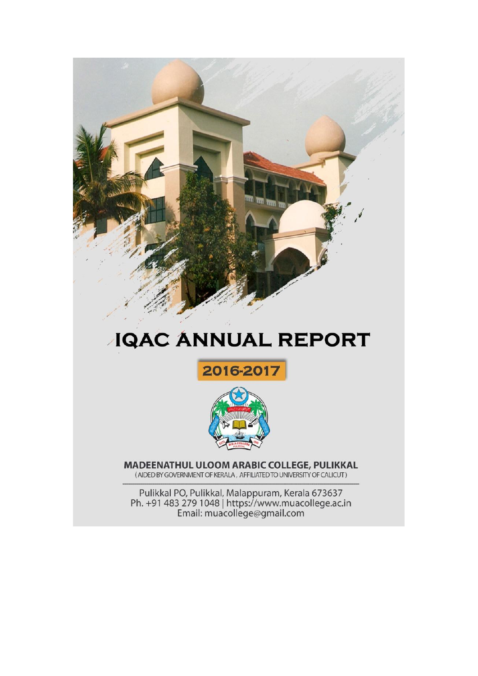

# **JQAC ANNUAL REPORT**





MADEENATHUL ULOOM ARABIC COLLEGE, PULIKKAL (AIDED BY GOVERNMENT OF KERALA, AFFILIATED TO UNIVERSITY OF CALICUT)

Pulikkal PO, Pulikkal, Malappuram, Kerala 673637<br>Ph. +91 483 279 1048 | https://www.muacollege.ac.in<br>Email: muacollege@gmail.com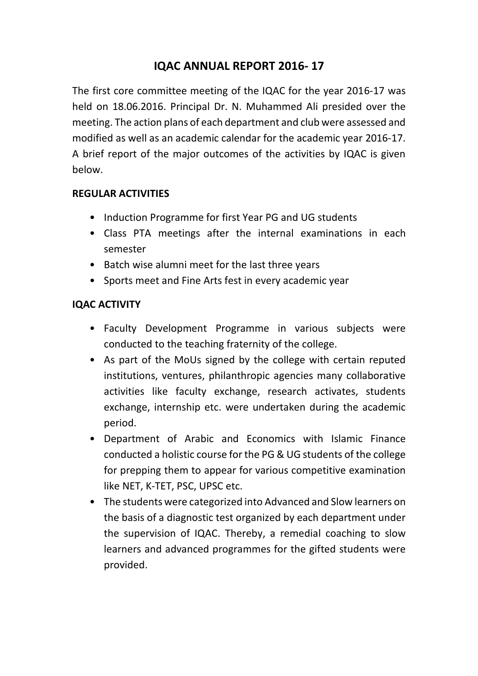## **IQAC ANNUAL REPORT 2016- 17**

The first core committee meeting of the IQAC for the year 2016-17 was held on 18.06.2016. Principal Dr. N. Muhammed Ali presided over the meeting. The action plans of each department and club were assessed and modified as well as an academic calendar for the academic year 2016-17. A brief report of the major outcomes of the activities by IQAC is given below.

## **REGULAR ACTIVITIES**

- Induction Programme for first Year PG and UG students
- Class PTA meetings after the internal examinations in each semester
- Batch wise alumni meet for the last three years
- Sports meet and Fine Arts fest in every academic year

## **IQAC ACTIVITY**

- Faculty Development Programme in various subjects were conducted to the teaching fraternity of the college.
- As part of the MoUs signed by the college with certain reputed institutions, ventures, philanthropic agencies many collaborative activities like faculty exchange, research activates, students exchange, internship etc. were undertaken during the academic period.
- Department of Arabic and Economics with Islamic Finance conducted a holistic course for the PG & UG students of the college for prepping them to appear for various competitive examination like NET, K-TET, PSC, UPSC etc.
- The students were categorized into Advanced and Slow learners on the basis of a diagnostic test organized by each department under the supervision of IQAC. Thereby, a remedial coaching to slow learners and advanced programmes for the gifted students were provided.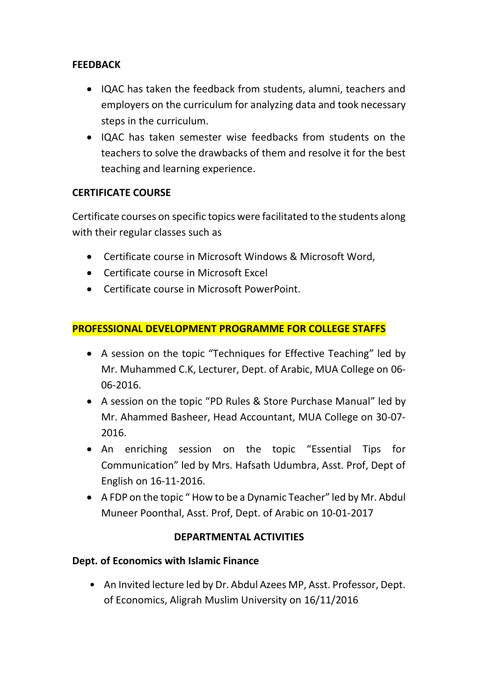## **FEEDBACK**

- IQAC has taken the feedback from students, alumni, teachers and employers on the curriculum for analyzing data and took necessary steps in the curriculum.
- IQAC has taken semester wise feedbacks from students on the teachers to solve the drawbacks of them and resolve it for the best teaching and learning experience.

## **CERTIFICATE COURSE**

Certificate courses on specific topics were facilitated to the students along with their regular classes such as

- Certificate course in Microsoft Windows & Microsoft Word,
- Certificate course in Microsoft Excel
- Certificate course in Microsoft PowerPoint.

## **PROFESSIONAL DEVELOPMENT PROGRAMME FOR COLLEGE STAFFS**

- A session on the topic "Techniques for Effective Teaching" led by Mr. Muhammed C.K, Lecturer, Dept. of Arabic, MUA College on 06- 06-2016.
- A session on the topic "PD Rules & Store Purchase Manual" led by Mr. Ahammed Basheer, Head Accountant, MUA College on 30-07- 2016.
- An enriching session on the topic "Essential Tips for Communication" led by Mrs. Hafsath Udumbra, Asst. Prof, Dept of English on 16-11-2016.
- A FDP on the topic " How to be a Dynamic Teacher" led by Mr. Abdul Muneer Poonthal, Asst. Prof, Dept. of Arabic on 10-01-2017

## **DEPARTMENTAL ACTIVITIES**

## **Dept. of Economics with Islamic Finance**

• An Invited lecture led by Dr. Abdul Azees MP, Asst. Professor, Dept. of Economics, Aligrah Muslim University on 16/11/2016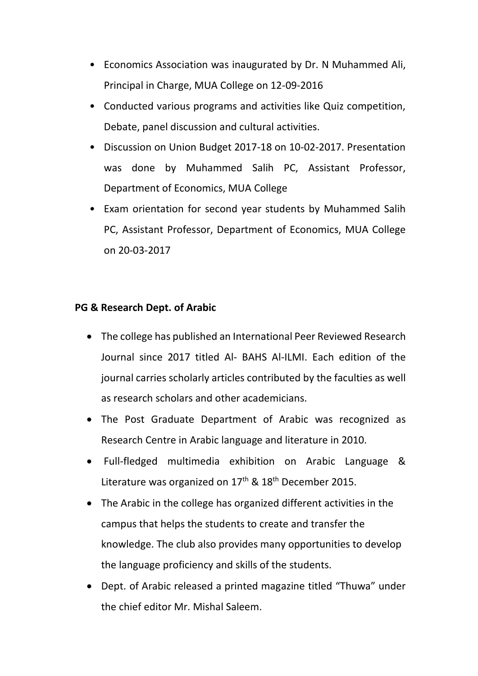- Economics Association was inaugurated by Dr. N Muhammed Ali, Principal in Charge, MUA College on 12-09-2016
- Conducted various programs and activities like Quiz competition, Debate, panel discussion and cultural activities.
- Discussion on Union Budget 2017-18 on 10-02-2017. Presentation was done by Muhammed Salih PC, Assistant Professor, Department of Economics, MUA College
- Exam orientation for second year students by Muhammed Salih PC, Assistant Professor, Department of Economics, MUA College on 20-03-2017

#### **PG & Research Dept. of Arabic**

- The college has published an International Peer Reviewed Research Journal since 2017 titled Al- BAHS Al-ILMI. Each edition of the journal carries scholarly articles contributed by the faculties as well as research scholars and other academicians.
- The Post Graduate Department of Arabic was recognized as Research Centre in Arabic language and literature in 2010.
- Full-fledged multimedia exhibition on Arabic Language & Literature was organized on 17<sup>th</sup> & 18<sup>th</sup> December 2015.
- The Arabic in the college has organized different activities in the campus that helps the students to create and transfer the knowledge. The club also provides many opportunities to develop the language proficiency and skills of the students.
- Dept. of Arabic released a printed magazine titled "Thuwa" under the chief editor Mr. Mishal Saleem.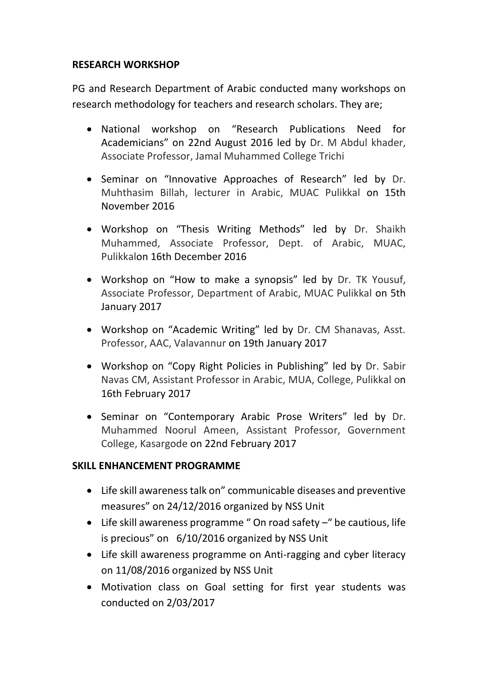## **RESEARCH WORKSHOP**

PG and Research Department of Arabic conducted many workshops on research methodology for teachers and research scholars. They are;

- National workshop on "Research Publications Need for Academicians" on 22nd August 2016 led by Dr. M Abdul khader, Associate Professor, Jamal Muhammed College Trichi
- Seminar on "Innovative Approaches of Research" led by Dr. Muhthasim Billah, lecturer in Arabic, MUAC Pulikkal on 15th November 2016
- Workshop on "Thesis Writing Methods" led by Dr. Shaikh Muhammed, Associate Professor, Dept. of Arabic, MUAC, Pulikkalon 16th December 2016
- Workshop on "How to make a synopsis" led by Dr. TK Yousuf, Associate Professor, Department of Arabic, MUAC Pulikkal on 5th January 2017
- Workshop on "Academic Writing" led by Dr. CM Shanavas, Asst. Professor, AAC, Valavannur on 19th January 2017
- Workshop on "Copy Right Policies in Publishing" led by Dr. Sabir Navas CM, Assistant Professor in Arabic, MUA, College, Pulikkal on 16th February 2017
- Seminar on "Contemporary Arabic Prose Writers" led by Dr. Muhammed Noorul Ameen, Assistant Professor, Government College, Kasargode on 22nd February 2017

## **SKILL ENHANCEMENT PROGRAMME**

- Life skill awareness talk on" communicable diseases and preventive measures" on 24/12/2016 organized by NSS Unit
- Life skill awareness programme " On road safety –" be cautious, life is precious" on 6/10/2016 organized by NSS Unit
- Life skill awareness programme on Anti-ragging and cyber literacy on 11/08/2016 organized by NSS Unit
- Motivation class on Goal setting for first year students was conducted on 2/03/2017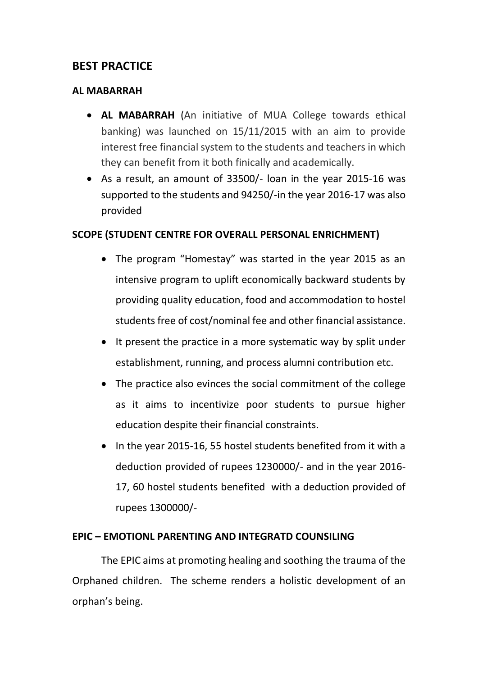## **BEST PRACTICE**

#### **AL MABARRAH**

- **AL MABARRAH** (An initiative of MUA College towards ethical banking) was launched on 15/11/2015 with an aim to provide interest free financial system to the students and teachers in which they can benefit from it both finically and academically.
- As a result, an amount of 33500/- loan in the year 2015-16 was supported to the students and 94250/-in the year 2016-17 was also provided

## **SCOPE (STUDENT CENTRE FOR OVERALL PERSONAL ENRICHMENT)**

- The program "Homestay" was started in the year 2015 as an intensive program to uplift economically backward students by providing quality education, food and accommodation to hostel students free of cost/nominal fee and other financial assistance.
- It present the practice in a more systematic way by split under establishment, running, and process alumni contribution etc.
- The practice also evinces the social commitment of the college as it aims to incentivize poor students to pursue higher education despite their financial constraints.
- In the year 2015-16, 55 hostel students benefited from it with a deduction provided of rupees 1230000/- and in the year 2016- 17, 60 hostel students benefited with a deduction provided of rupees 1300000/-

## **EPIC – EMOTIONL PARENTING AND INTEGRATD COUNSILING**

The EPIC aims at promoting healing and soothing the trauma of the Orphaned children. The scheme renders a holistic development of an orphan's being.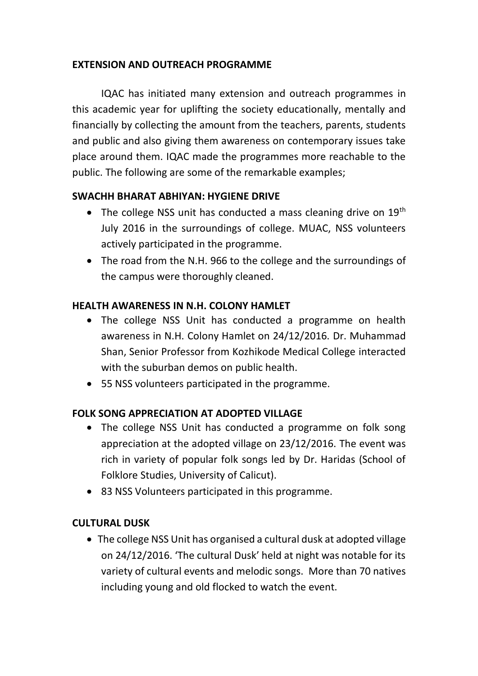## **EXTENSION AND OUTREACH PROGRAMME**

IQAC has initiated many extension and outreach programmes in this academic year for uplifting the society educationally, mentally and financially by collecting the amount from the teachers, parents, students and public and also giving them awareness on contemporary issues take place around them. IQAC made the programmes more reachable to the public. The following are some of the remarkable examples;

## **SWACHH BHARAT ABHIYAN: HYGIENE DRIVE**

- The college NSS unit has conducted a mass cleaning drive on  $19<sup>th</sup>$ July 2016 in the surroundings of college. MUAC, NSS volunteers actively participated in the programme.
- The road from the N.H. 966 to the college and the surroundings of the campus were thoroughly cleaned.

## **HEALTH AWARENESS IN N.H. COLONY HAMLET**

- The college NSS Unit has conducted a programme on health awareness in N.H. Colony Hamlet on 24/12/2016. Dr. Muhammad Shan, Senior Professor from Kozhikode Medical College interacted with the suburban demos on public health.
- 55 NSS volunteers participated in the programme.

## **FOLK SONG APPRECIATION AT ADOPTED VILLAGE**

- The college NSS Unit has conducted a programme on folk song appreciation at the adopted village on 23/12/2016. The event was rich in variety of popular folk songs led by Dr. Haridas (School of Folklore Studies, University of Calicut).
- 83 NSS Volunteers participated in this programme.

## **CULTURAL DUSK**

 The college NSS Unit has organised a cultural dusk at adopted village on 24/12/2016. 'The cultural Dusk' held at night was notable for its variety of cultural events and melodic songs. More than 70 natives including young and old flocked to watch the event.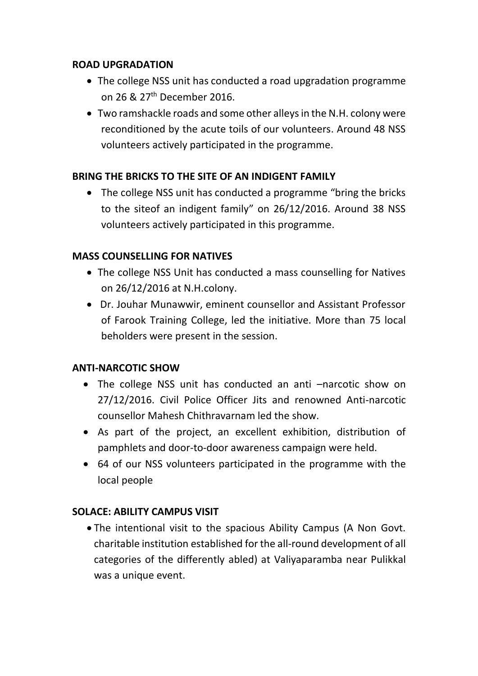## **ROAD UPGRADATION**

- The college NSS unit has conducted a road upgradation programme on 26 & 27th December 2016.
- Two ramshackle roads and some other alleys in the N.H. colony were reconditioned by the acute toils of our volunteers. Around 48 NSS volunteers actively participated in the programme.

## **BRING THE BRICKS TO THE SITE OF AN INDIGENT FAMILY**

 The college NSS unit has conducted a programme "bring the bricks to the siteof an indigent family" on 26/12/2016. Around 38 NSS volunteers actively participated in this programme.

## **MASS COUNSELLING FOR NATIVES**

- The college NSS Unit has conducted a mass counselling for Natives on 26/12/2016 at N.H.colony.
- Dr. Jouhar Munawwir, eminent counsellor and Assistant Professor of Farook Training College, led the initiative. More than 75 local beholders were present in the session.

## **ANTI-NARCOTIC SHOW**

- The college NSS unit has conducted an anti –narcotic show on 27/12/2016. Civil Police Officer Jits and renowned Anti-narcotic counsellor Mahesh Chithravarnam led the show.
- As part of the project, an excellent exhibition, distribution of pamphlets and door-to-door awareness campaign were held.
- 64 of our NSS volunteers participated in the programme with the local people

## **SOLACE: ABILITY CAMPUS VISIT**

 The intentional visit to the spacious Ability Campus (A Non Govt. charitable institution established for the all-round development of all categories of the differently abled) at Valiyaparamba near Pulikkal was a unique event.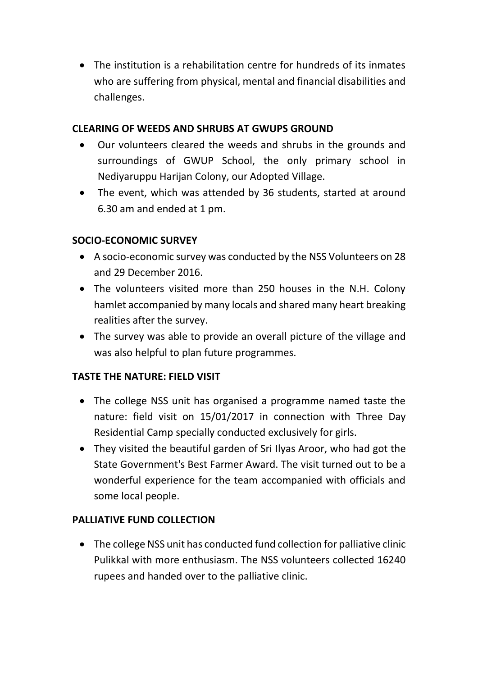The institution is a rehabilitation centre for hundreds of its inmates who are suffering from physical, mental and financial disabilities and challenges.

## **CLEARING OF WEEDS AND SHRUBS AT GWUPS GROUND**

- Our volunteers cleared the weeds and shrubs in the grounds and surroundings of GWUP School, the only primary school in Nediyaruppu Harijan Colony, our Adopted Village.
- The event, which was attended by 36 students, started at around 6.30 am and ended at 1 pm.

## **SOCIO-ECONOMIC SURVEY**

- A socio-economic survey was conducted by the NSS Volunteers on 28 and 29 December 2016.
- The volunteers visited more than 250 houses in the N.H. Colony hamlet accompanied by many locals and shared many heart breaking realities after the survey.
- The survey was able to provide an overall picture of the village and was also helpful to plan future programmes.

## **TASTE THE NATURE: FIELD VISIT**

- The college NSS unit has organised a programme named taste the nature: field visit on 15/01/2017 in connection with Three Day Residential Camp specially conducted exclusively for girls.
- They visited the beautiful garden of Sri Ilyas Aroor, who had got the State Government's Best Farmer Award. The visit turned out to be a wonderful experience for the team accompanied with officials and some local people.

## **PALLIATIVE FUND COLLECTION**

 The college NSS unit has conducted fund collection for palliative clinic Pulikkal with more enthusiasm. The NSS volunteers collected 16240 rupees and handed over to the palliative clinic.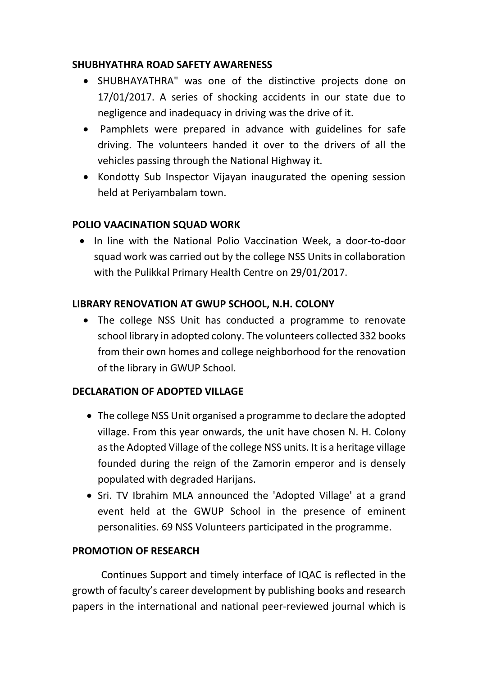#### **SHUBHYATHRA ROAD SAFETY AWARENESS**

- SHUBHAYATHRA" was one of the distinctive projects done on 17/01/2017. A series of shocking accidents in our state due to negligence and inadequacy in driving was the drive of it.
- Pamphlets were prepared in advance with guidelines for safe driving. The volunteers handed it over to the drivers of all the vehicles passing through the National Highway it.
- Kondotty Sub Inspector Vijayan inaugurated the opening session held at Periyambalam town.

## **POLIO VAACINATION SQUAD WORK**

• In line with the National Polio Vaccination Week, a door-to-door squad work was carried out by the college NSS Units in collaboration with the Pulikkal Primary Health Centre on 29/01/2017.

#### **LIBRARY RENOVATION AT GWUP SCHOOL, N.H. COLONY**

 The college NSS Unit has conducted a programme to renovate school library in adopted colony. The volunteers collected 332 books from their own homes and college neighborhood for the renovation of the library in GWUP School.

## **DECLARATION OF ADOPTED VILLAGE**

- The college NSS Unit organised a programme to declare the adopted village. From this year onwards, the unit have chosen N. H. Colony as the Adopted Village of the college NSS units. It is a heritage village founded during the reign of the Zamorin emperor and is densely populated with degraded Harijans.
- Sri. TV Ibrahim MLA announced the 'Adopted Village' at a grand event held at the GWUP School in the presence of eminent personalities. 69 NSS Volunteers participated in the programme.

#### **PROMOTION OF RESEARCH**

Continues Support and timely interface of IQAC is reflected in the growth of faculty's career development by publishing books and research papers in the international and national peer-reviewed journal which is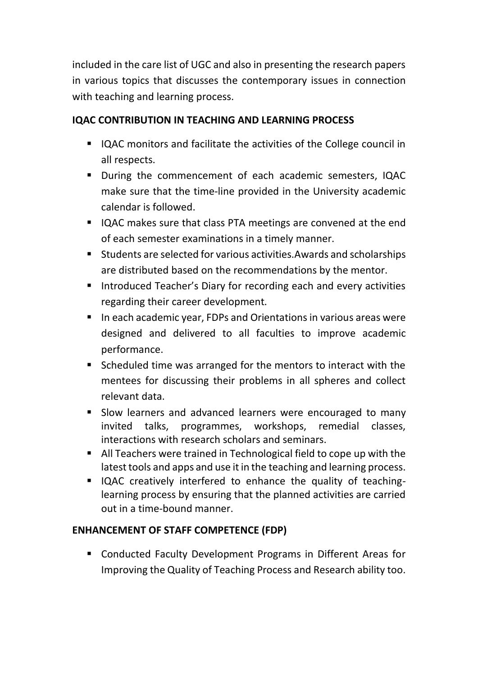included in the care list of UGC and also in presenting the research papers in various topics that discusses the contemporary issues in connection with teaching and learning process.

## **IQAC CONTRIBUTION IN TEACHING AND LEARNING PROCESS**

- IQAC monitors and facilitate the activities of the College council in all respects.
- During the commencement of each academic semesters, IQAC make sure that the time-line provided in the University academic calendar is followed.
- IQAC makes sure that class PTA meetings are convened at the end of each semester examinations in a timely manner.
- Students are selected for various activities.Awards and scholarships are distributed based on the recommendations by the mentor.
- **Introduced Teacher's Diary for recording each and every activities** regarding their career development.
- In each academic year, FDPs and Orientations in various areas were designed and delivered to all faculties to improve academic performance.
- Scheduled time was arranged for the mentors to interact with the mentees for discussing their problems in all spheres and collect relevant data.
- **Slow learners and advanced learners were encouraged to many** invited talks, programmes, workshops, remedial classes, interactions with research scholars and seminars.
- All Teachers were trained in Technological field to cope up with the latest tools and apps and use it in the teaching and learning process.
- IQAC creatively interfered to enhance the quality of teachinglearning process by ensuring that the planned activities are carried out in a time-bound manner.

## **ENHANCEMENT OF STAFF COMPETENCE (FDP)**

 Conducted Faculty Development Programs in Different Areas for Improving the Quality of Teaching Process and Research ability too.